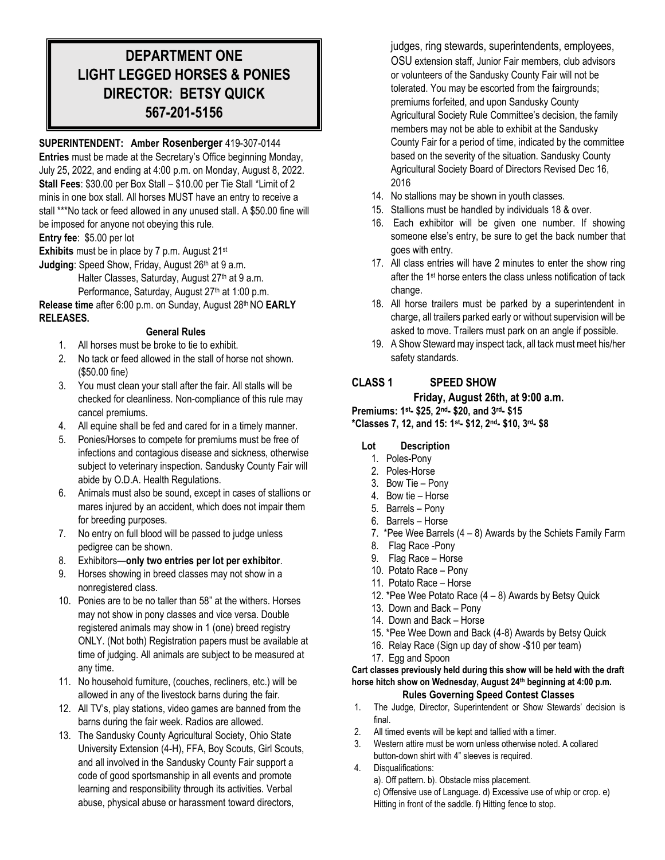## **DEPARTMENT ONE LIGHT LEGGED HORSES & PONIES DIRECTOR: BETSY QUICK 567-201-5156**

## **SUPERINTENDENT: Amber Rosenberger** 419-307-0144

**Entries** must be made at the Secretary's Office beginning Monday, July 25, 2022, and ending at 4:00 p.m. on Monday, August 8, 2022. **Stall Fees**: \$30.00 per Box Stall – \$10.00 per Tie Stall \*Limit of 2 minis in one box stall. All horses MUST have an entry to receive a stall \*\*\*No tack or feed allowed in any unused stall. A \$50.00 fine will be imposed for anyone not obeying this rule.

**Entry fee**: \$5.00 per lot

**Exhibits** must be in place by 7 p.m. August 21st

**Judging: Speed Show, Friday, August 26th at 9 a.m.** Halter Classes, Saturday, August 27<sup>th</sup> at 9 a.m. Performance, Saturday, August 27<sup>th</sup> at 1:00 p.m.

**Release time** after 6:00 p.m. on Sunday, August 28th NO **EARLY RELEASES.** 

## **General Rules**

- 1. All horses must be broke to tie to exhibit.
- 2. No tack or feed allowed in the stall of horse not shown. (\$50.00 fine)
- 3. You must clean your stall after the fair. All stalls will be checked for cleanliness. Non-compliance of this rule may cancel premiums.
- 4. All equine shall be fed and cared for in a timely manner.
- 5. Ponies/Horses to compete for premiums must be free of infections and contagious disease and sickness, otherwise subject to veterinary inspection. Sandusky County Fair will abide by O.D.A. Health Regulations.
- 6. Animals must also be sound, except in cases of stallions or mares injured by an accident, which does not impair them for breeding purposes.
- 7. No entry on full blood will be passed to judge unless pedigree can be shown.
- 8. Exhibitors—**only two entries per lot per exhibitor**.
- 9. Horses showing in breed classes may not show in a nonregistered class.
- 10. Ponies are to be no taller than 58" at the withers. Horses may not show in pony classes and vice versa. Double registered animals may show in 1 (one) breed registry ONLY. (Not both) Registration papers must be available at time of judging. All animals are subject to be measured at any time.
- 11. No household furniture, (couches, recliners, etc.) will be allowed in any of the livestock barns during the fair.
- 12. All TV's, play stations, video games are banned from the barns during the fair week. Radios are allowed.
- 13. The Sandusky County Agricultural Society, Ohio State University Extension (4-H), FFA, Boy Scouts, Girl Scouts, and all involved in the Sandusky County Fair support a code of good sportsmanship in all events and promote learning and responsibility through its activities. Verbal abuse, physical abuse or harassment toward directors,

judges, ring stewards, superintendents, employees, OSU extension staff, Junior Fair members, club advisors or volunteers of the Sandusky County Fair will not be tolerated. You may be escorted from the fairgrounds; premiums forfeited, and upon Sandusky County Agricultural Society Rule Committee's decision, the family members may not be able to exhibit at the Sandusky County Fair for a period of time, indicated by the committee based on the severity of the situation. Sandusky County Agricultural Society Board of Directors Revised Dec 16, 2016

- 14. No stallions may be shown in youth classes.
- 15. Stallions must be handled by individuals 18 & over.
- 16. Each exhibitor will be given one number. If showing someone else's entry, be sure to get the back number that goes with entry.
- 17. All class entries will have 2 minutes to enter the show ring after the 1st horse enters the class unless notification of tack change.
- 18. All horse trailers must be parked by a superintendent in charge, all trailers parked early or without supervision will be asked to move. Trailers must park on an angle if possible.
- 19. A Show Steward may inspect tack, all tack must meet his/her safety standards.

## **CLASS 1 SPEED SHOW**

#### **Friday, August 26th, at 9:00 a.m.**

**Premiums: 1st- \$25, 2nd- \$20, and 3rd- \$15**

**\*Classes 7, 12, and 15: 1st- \$12, 2nd- \$10, 3rd- \$8**

## **Lot Description**

- 1. Poles-Pony
- 2. Poles-Horse
- 3. Bow Tie Pony
- 4. Bow tie Horse
- 5. Barrels Pony
- 6. Barrels Horse
- 7. \*Pee Wee Barrels (4 8) Awards by the Schiets Family Farm
- 8. Flag Race -Pony
- 9. Flag Race Horse
- 10. Potato Race Pony
- 11. Potato Race Horse
- 12. \*Pee Wee Potato Race (4 8) Awards by Betsy Quick
- 13. Down and Back Pony
- 14. Down and Back Horse
- 15. \*Pee Wee Down and Back (4-8) Awards by Betsy Quick
- 16. Relay Race (Sign up day of show -\$10 per team)
- 17. Egg and Spoon

#### **Cart classes previously held during this show will be held with the draft horse hitch show on Wednesday, August 24th beginning at 4:00 p.m. Rules Governing Speed Contest Classes**

- 1. The Judge, Director, Superintendent or Show Stewards' decision is final.
- 2. All timed events will be kept and tallied with a timer.
- 3. Western attire must be worn unless otherwise noted. A collared button-down shirt with 4" sleeves is required.
- 4. Disqualifications:

a). Off pattern. b). Obstacle miss placement.

c) Offensive use of Language. d) Excessive use of whip or crop. e) Hitting in front of the saddle. f) Hitting fence to stop.